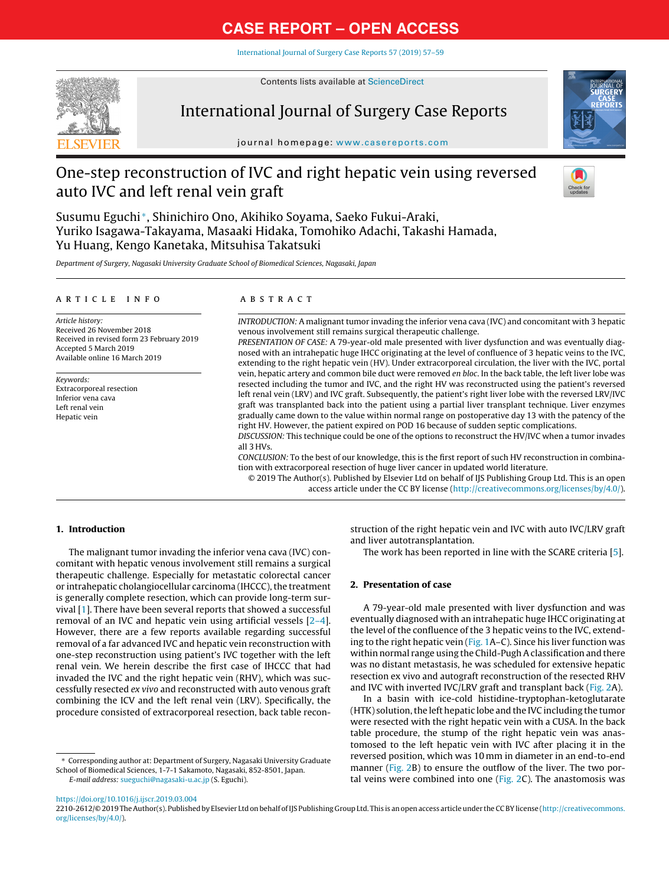# **CASE REPORT – OPEN ACCESS**

[International](https://doi.org/10.1016/j.ijscr.2019.03.004) Journal of Surgery Case Reports 57 (2019) 57–59



Contents lists available at [ScienceDirect](http://www.sciencedirect.com/science/journal/22102612)

## International Journal of Surgery Case Reports



journal homepage: [www.casereports.com](http://www.casereports.com)

# One-step reconstruction of IVC and right hepatic vein using reversed auto IVC and left renal vein graft



Susumu Eguchi <sup>∗</sup>, Shinichiro Ono, Akihiko Soyama, Saeko Fukui-Araki, Yuriko Isagawa-Takayama, Masaaki Hidaka, Tomohiko Adachi, Takashi Hamada, Yu Huang, Kengo Kanetaka, Mitsuhisa Takatsuki

Department of Surgery, Nagasaki University Graduate School of Biomedical Sciences, Nagasaki, Japan

#### a r t i c l e i n f o

Article history: Received 26 November 2018 Received in revised form 23 February 2019 Accepted 5 March 2019 Available online 16 March 2019

Keywords: Extracorporeal resection Inferior vena cava Left renal vein Hepatic vein

## A B S T R A C T

INTRODUCTION: A malignant tumor invading the inferior vena cava (IVC) and concomitant with 3 hepatic venous involvement still remains surgical therapeutic challenge.

PRESENTATION OF CASE: A 79-year-old male presented with liver dysfunction and was eventually diagnosed with an intrahepatic huge IHCC originating at the level of confluence of 3 hepatic veins to the IVC, extending to the right hepatic vein (HV). Under extracorporeal circulation, the liver with the IVC, portal vein, hepatic artery and common bile duct were removed en bloc. In the back table, the left liver lobe was resected including the tumor and IVC, and the right HV was reconstructed using the patient's reversed left renal vein (LRV) and IVC graft. Subsequently, the patient's right liver lobe with the reversed LRV/IVC graft was transplanted back into the patient using a partial liver transplant technique. Liver enzymes gradually came down to the value within normal range on postoperative day 13 with the patency of the right HV. However, the patient expired on POD 16 because of sudden septic complications.

DISCUSSION: This technique could be one of the options to reconstruct the HV/IVC when a tumor invades all 3 HVs.

CONCLUSION: To the best of our knowledge, this is the first report of such HV reconstruction in combination with extracorporeal resection of huge liver cancer in updated world literature.

© 2019 The Author(s). Published by Elsevier Ltd on behalf of IJS Publishing Group Ltd. This is an open access article under the CC BY license [\(http://creativecommons.org/licenses/by/4.0/](http://creativecommons.org/licenses/by/4.0/)).

## **1. Introduction**

The malignant tumor invading the inferior vena cava (IVC) concomitant with hepatic venous involvement still remains a surgical therapeutic challenge. Especially for metastatic colorectal cancer or intrahepatic cholangiocellular carcinoma (IHCCC), the treatment is generally complete resection, which can provide long-term survival [[1\].](#page-2-0) There have been several reports that showed a successful removal of an IVC and hepatic vein using artificial vessels  $[2-4]$ . However, there are a few reports available regarding successful removal of a far advanced IVC and hepatic vein reconstruction with one-step reconstruction using patient's IVC together with the left renal vein. We herein describe the first case of IHCCC that had invaded the IVC and the right hepatic vein (RHV), which was successfully resected ex vivo and reconstructed with auto venous graft combining the ICV and the left renal vein (LRV). Specifically, the procedure consisted of extracorporeal resection, back table recon-

∗ Corresponding author at: Department of Surgery, Nagasaki University Graduate School of Biomedical Sciences, 1-7-1 Sakamoto, Nagasaki, 852-8501, Japan. E-mail address: [sueguchi@nagasaki-u.ac.jp](mailto:sueguchi@nagasaki-u.ac.jp) (S. Eguchi).

struction of the right hepatic vein and IVC with auto IVC/LRV graft and liver autotransplantation.

The work has been reported in line with the SCARE criteria [[5\].](#page-2-0)

## **2. Presentation of case**

A 79-year-old male presented with liver dysfunction and was eventually diagnosed with an intrahepatic huge IHCC originating at the level of the confluence of the 3 hepatic veins to the IVC, extending to the right hepatic vein [\(Fig.](#page-1-0) 1A–C). Since his liver function was within normal range using the Child-Pugh A classification and there was no distant metastasis, he was scheduled for extensive hepatic resection ex vivo and autograft reconstruction of the resected RHV and IVC with inverted IVC/LRV graft and transplant back [\(Fig.](#page-1-0) 2A).

In a basin with ice-cold histidine-tryptophan-ketoglutarate (HTK) solution, the left hepatic lobe and the IVC including the tumor were resected with the right hepatic vein with a CUSA. In the back table procedure, the stump of the right hepatic vein was anastomosed to the left hepatic vein with IVC after placing it in the reversed position, which was 10 mm in diameter in an end-to-end manner ([Fig.](#page-1-0) 2B) to ensure the outflow of the liver. The two portal veins were combined into one [\(Fig.](#page-1-0) 2C). The anastomosis was

<https://doi.org/10.1016/j.ijscr.2019.03.004>

2210-2612/© 2019 The Author(s). Published by Elsevier Ltd on behalf of IJS Publishing Group Ltd. This is an open access article under the CC BY license ([http://creativecommons.](http://creativecommons.org/licenses/by/4.0/) [org/licenses/by/4.0/\)](http://creativecommons.org/licenses/by/4.0/).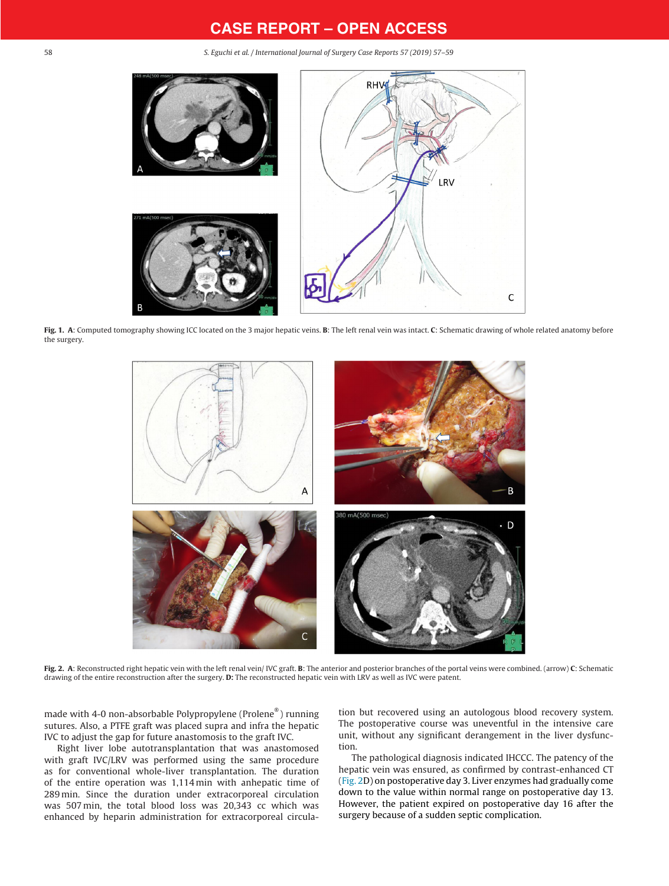## **CASE REPORT – OPEN ACCESS**

<span id="page-1-0"></span>58 S. Eguchi et al. / International Journal of Surgery Case Reports 57 (2019) 57–59



**Fig. 1. A**: Computed tomography showing ICC located on the 3 major hepatic veins. **B**: The left renal vein was intact. **C**: Schematic drawing of whole related anatomy before the surgery.



**Fig. 2. A**: Reconstructed right hepatic vein with the left renal vein/ IVC graft. **B**: The anterior and posterior branches of the portal veins were combined. (arrow) **C**: Schematic drawing of the entire reconstruction after the surgery. **D:** The reconstructed hepatic vein with LRV as well as IVC were patent.

made with 4-0 non-absorbable Polypropylene (Prolene® ) running sutures. Also, a PTFE graft was placed supra and infra the hepatic IVC to adjust the gap for future anastomosis to the graft IVC.

Right liver lobe autotransplantation that was anastomosed with graft IVC/LRV was performed using the same procedure as for conventional whole-liver transplantation. The duration of the entire operation was 1,114 min with anhepatic time of 289 min. Since the duration under extracorporeal circulation was 507 min, the total blood loss was 20,343 cc which was enhanced by heparin administration for extracorporeal circulation but recovered using an autologous blood recovery system. The postoperative course was uneventful in the intensive care unit, without any significant derangement in the liver dysfunction.

The pathological diagnosis indicated IHCCC. The patency of the hepatic vein was ensured, as confirmed by contrast-enhanced CT (Fig. 2D) on postoperative day 3. Liver enzymes had gradually come down to the value within normal range on postoperative day 13. However, the patient expired on postoperative day 16 after the surgery because of a sudden septic complication.